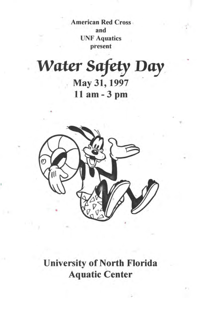American Red Cross and UNF Aquatics present

*Water Safety Day* . May 31, 1997 11 am- 3 pm



University of North Florida Aquatic Center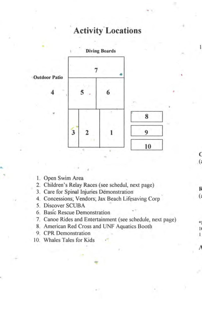# **Activity Locations**



- I. Open Swim Area
- 2. Children's Relay Races ( see schedul, next page)
- 3. Care for Spinal Injuries Demonstration
- 4. Concessions; Vendors; Jax Beach Lifesaving Corp
- *5.* Discover SCUBA
- 6. Basic Rescue Demonstration
- 7. Canoe Rides and Entertainment ( see schedule, next page)
- 8. American Red Cross and UNF Aquatics Booth
- 9. CPR Demonstration
- 10. Whales Tales for Kids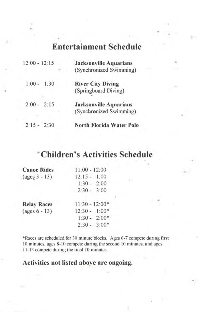# **Entertainment Schedule**

| $12:00 - 12:15$ | <b>Jacksonville Aquarians</b><br>(Synchronized Swimming) |
|-----------------|----------------------------------------------------------|
| $1:00 - 1:30$   | <b>River City Diving</b><br>(Springboard Diving)         |
| $2:00 - 2:15$   | <b>Jacksonville Aquarians</b><br>(Synchronized Swimming) |
| $2:15 - 2:30$   | North Florida Water Polo                                 |

### **Children's Activities Schedule**

| <b>Canoe Rides</b>                   | $11:00 - 12:00$  |
|--------------------------------------|------------------|
| $\left( \text{ages } 3 - 13 \right)$ | $12:15 - 1:00$   |
|                                      | $1:30 - 2:00$    |
|                                      | $2:30 - 3:00$    |
| <b>Relay Races</b>                   | $11:30 - 12:00*$ |
| $(\text{ages } 6 - 13)$              | $12:30 - 1:00*$  |
|                                      | $1:30 - 2:00*$   |
|                                      | $2:30 - 3:00*$   |

\*Races are scheduled for 30 minute blocks. Ages 6-7 compete during first IO minutes, ages 8-10 compete during the second 10 minutes, and ages 11-13 compete during the final 10 minutes.

#### **Activities not listed a hove are ongoing.**